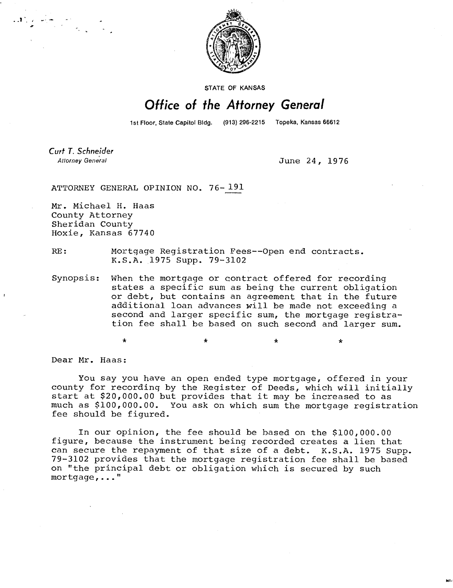

STATE OF KANSAS

## Office of the Attorney General

1st Floor, State Capitol Bldg. (913) 296-2215 Topeka, Kansas 66612

Curt T. Schneider **Attorney General** 

June 24, 1976

ATTORNEY GENERAL OPINION NO. 76- 191

Mr. Michael H. Haas County Attorney Sheridan County Hoxie, Kansas 67740

 $\label{eq:Ricci} \mathcal{M}_{\text{G}}^{\text{G}}\left(\frac{1}{\sigma}\right) = \frac{1}{\sigma_{\text{G}}^2} \sum_{\substack{\mathbf{r} \in \mathcal{R}^2 \\ \mathbf{r} \in \mathcal{R}^2 \\ \mathbf{r} \in \mathcal{R}^2}} \mathcal{M}_{\text{G}}^{\text{G}}\left(\frac{1}{\sigma_{\text{G}}^2}\right) = \frac{1}{\sigma_{\text{G}}^2} \sum_{\substack{\mathbf{r} \in \mathcal{R}^2 \\ \mathbf{r} \in \mathcal{R}^2 \\ \mathbf{r} \in \mathcal{R}$ 

RE: Mortgage Registration Fees--Open end contracts. K.S.A. 1975 Supp. 79-3102

Synopsis: When the mortgage or contract offered for recording states a specific sum as being the current obligation or debt, but contains an agreement that in the future additional loan advances will be made not exceeding a second and larger specific sum, the mortgage registration fee shall be based on such second and larger sum.

\*

Dear Mr. Haas:

You say you have an open ended type mortgage, offered in your county for recording by the Register of Deeds, which will initially start at \$20,000.00 but provides that it may be increased to as much as \$100,000.00. You ask on which sum the mortgage registration fee should be figured.

In our opinion, the fee should be based on the \$100,000.00 figure, because the instrument being recorded creates a lien that can secure the repayment of that size of a debt. K.S.A. 1975 Supp. 79-3102 provides that the mortgage registration fee shall be based on "the principal debt or obligation which is secured by such mortgage,..."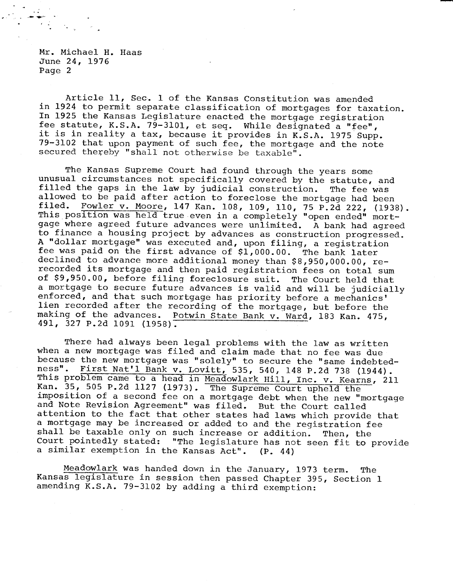Mr. Michael H. Haas June 24, 1976 Page 2

Article 11, Sec. 1 of the Kansas Constitution was amended in 1924 to permit separate classification of mortgages for taxation. In 1925 the Kansas Legislature enacted the mortgage registration fee statute, K.S.A.  $79-3101$ , et seq. While designated a "fee", it is in reality a tax, because it provides in K.S.A. 1975 Supp. 79-3102 that upon payment of such fee, the mortgage and the note secured thereby "shall not otherwise be taxable".

The Kansas Supreme Court had found through the years some unusual circumstances not specifically covered by the statute, and filled the gaps in the law by judicial construction. The fee was allowed to be paid after action to foreclose the mortgage had been filed. Fowler v. Moore, 147 Kan. 108, 109, 110, 75 P.2d 222, (1938). This position was held true even in a completely "open ended" mortgage where agreed future advances were unlimited. A bank had agreed to finance a housing project by advances as construction progressed. A "dollar mortgage" was executed and, upon filing, a registration fee was paid on the first advance of \$1,000.00. The bank later declined to advance more additional money than \$8,950,000.00, rerecorded its mortgage and then paid registration fees on total sum of \$9,950.00, before filing foreclosure suit. The Court held that a mortgage to secure future advances is valid and will be judicially enforced, and that such mortgage has priority before a mechanics' lien recorded after the recording of the mortgage, but before the making of the advances. Potwin State Bank v. Ward, 183 Kan. 475, 491, 327 P.2d 1091 (1958).

There had always been legal problems with the law as written when a new mortgage was filed and claim made that no fee was due because the new mortgage was "solely" to secure the "same indebtedness". First Nat'l Bank v. Lovitt, 535, 540, 148 P.2d 738 (1944). This problem came to a head in Meadowlark Hill, Inc. v. Kearns, 211 Kan. 35, 505 P.2d 1127 (1973). The Supreme Court upheld the imposition of a second fee on a mortgage debt when the new "mortgage and Note Revision Agreement" was filed. But the Court called attention to the fact that other states had laws which provide that a mortgage may be increased or added to and the registration fee shall be taxable only on such increase or addition. Then, the Court pointedly stated: "The legislature has not seen fit to provide a similar exemption in the Kansas Act". (P. 44)

Meadowlark was handed down in the January, 1973 term. The Kansas legislature in session then passed Chapter 395, Section 1 amending K.S.A. 79-3102 by adding a third exemption: